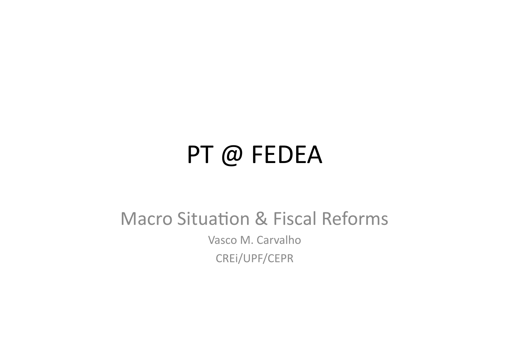## PT @ FEDEA

#### Macro Situation & Fiscal Reforms

Vasco M. Carvalho CREi/UPF/CEPR#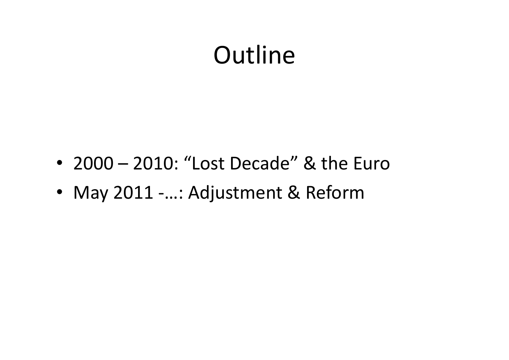## **Outline**

- 2000 2010: "Lost Decade" & the Euro
- May 2011 -...: Adjustment & Reform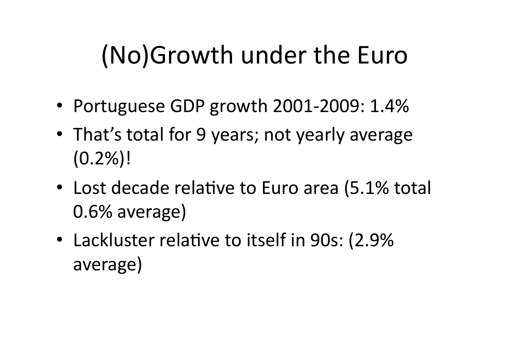## (No)Growth under the Euro

- Portuguese GDP growth  $2001-2009: 1.4%$
- That's total for 9 years; not yearly average  $(0.2\%)!$
- Lost decade relative to Euro area (5.1% total  $0.6\%$  average)
- Lackluster relative to itself in 90s: (2.9% average)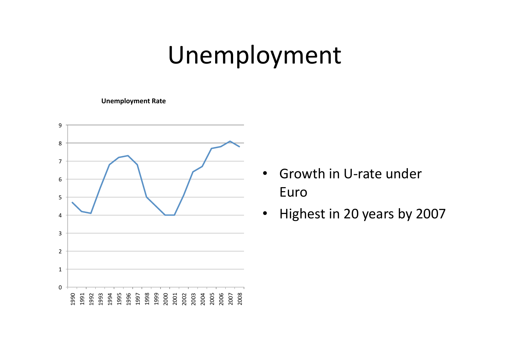## Unemployment#

#### **Unemployment Rate**



- Growth in U-rate under Euro#
- Highest in 20 years by 2007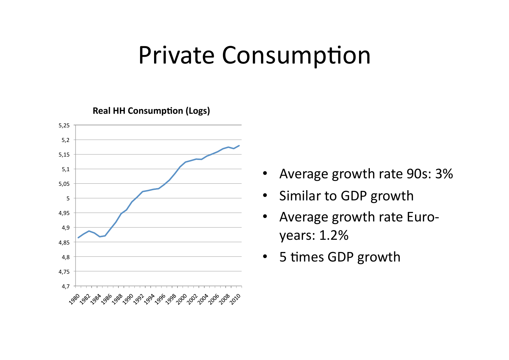### Private Consumption

**Real HH Consumption (Logs)** 



- Average growth rate 90s: 3%
- Similar to GDP growth
- Average growth rate Euroyears: 1.2%
- 5 times GDP growth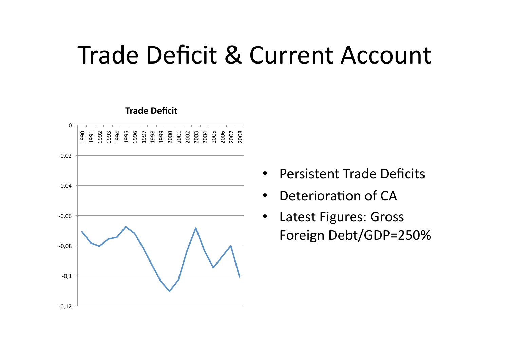### Trade Deficit & Current Account



- Persistent Trade Deficits
- Deterioration of CA
- Latest Figures: Gross Foreign Debt/GDP=250%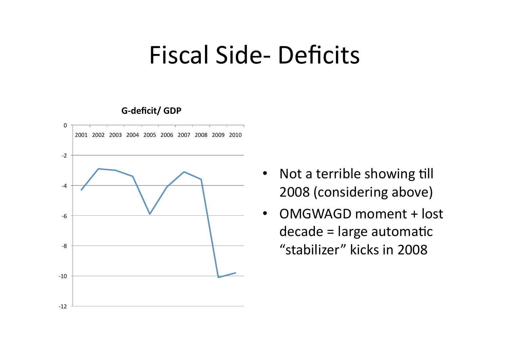#### Fiscal Side-Deficits

#### G-deficit/ GDP



- Not a terrible showing till 2008 (considering above)
- OMGWAGD moment + lost  $decade = large$  automatic "stabilizer" kicks in 2008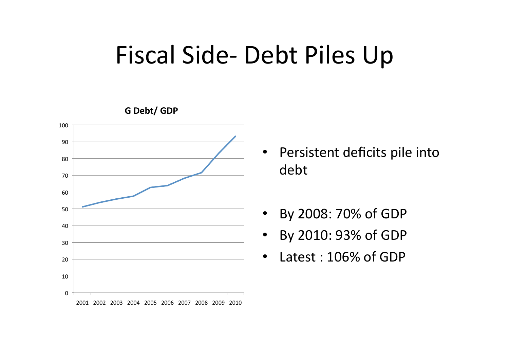## Fiscal Side-Debt Piles Up



- Persistent deficits pile into debt#
- By 2008: 70% of GDP
- By 2010: 93% of GDP
- Latest:  $106\%$  of GDP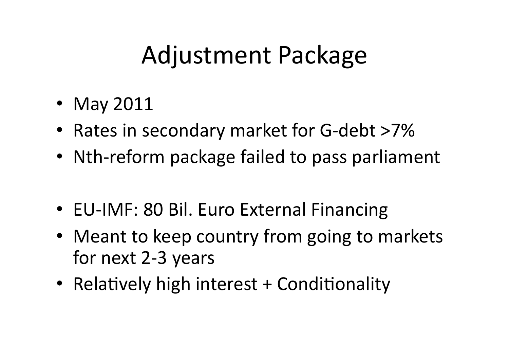## Adjustment Package

- May 2011
- Rates in secondary market for G-debt >7%
- Nth-reform package failed to pass parliament
- EU-IMF: 80 Bil. Euro External Financing
- Meant to keep country from going to markets for next 2-3 years
- Relatively high interest  $+$  Conditionality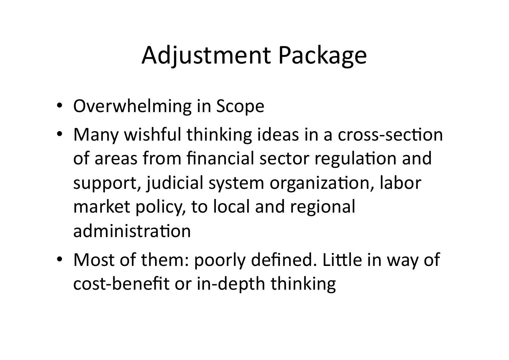## Adjustment Package

- Overwhelming in Scope
- Many wishful thinking ideas in a cross-section of areas from financial sector regulation and support, judicial system organization, labor market policy, to local and regional administration
- Most of them: poorly defined. Little in way of cost-benefit or in-depth thinking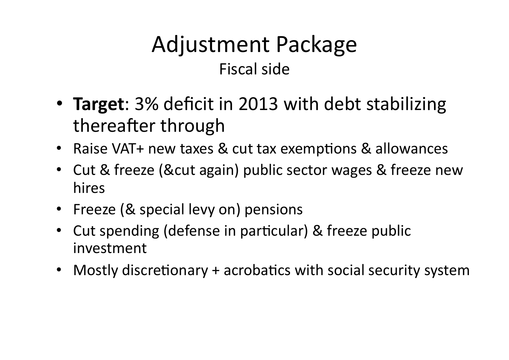#### Adjustment Package Fiscal side

- **Target**: 3% deficit in 2013 with debt stabilizing thereafter through
- Raise VAT+ new taxes & cut tax exemptions & allowances
- Cut & freeze (&cut again) public sector wages & freeze new hires#
- Freeze (& special levy on) pensions
- Cut spending (defense in particular) & freeze public investment#
- Mostly discretionary + acrobatics with social security system